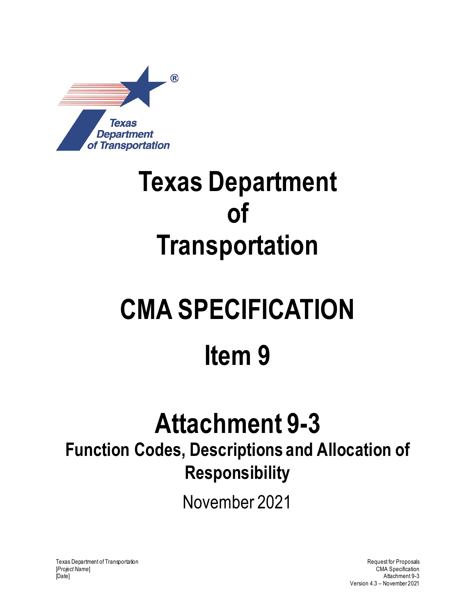

### **Texas Department of Transportation**

# **CMA SPECIFICATION Item 9**

## **Attachment 9-3**

### **Function Codes, Descriptions and Allocation of Responsibility**

November 2021

Texas Department of Transportation and the control of Transportation Request for Proposals [*Project Name*] CMA Specification [Date] Attachment 9-3

Version 4.3 – November 2021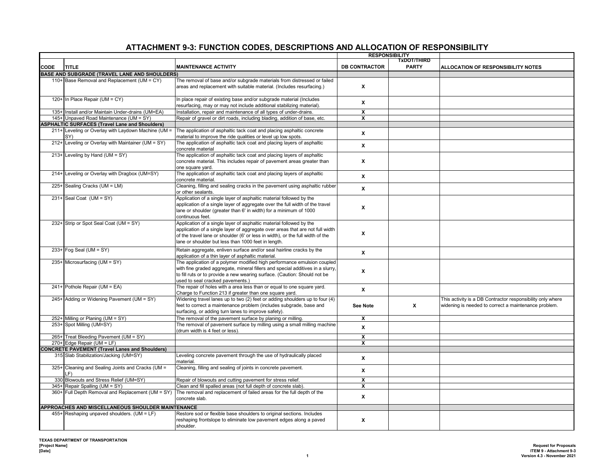|             |                                                          |                                                                                                                                             | <b>RESPONSIBILITY</b>   |              |                                                            |
|-------------|----------------------------------------------------------|---------------------------------------------------------------------------------------------------------------------------------------------|-------------------------|--------------|------------------------------------------------------------|
|             |                                                          |                                                                                                                                             |                         | TxDOT/THIRD  |                                                            |
| <b>CODE</b> | <b>TITLE</b>                                             | <b>MAINTENANCE ACTIVITY</b>                                                                                                                 | <b>DB CONTRACTOR</b>    | <b>PARTY</b> | ALLOCATION OF RESPONSIBILITY NOTES                         |
|             | BASE AND SUBGRADE (TRAVEL LANE AND SHOULDERS)            |                                                                                                                                             |                         |              |                                                            |
|             | 110+ Base Removal and Replacement (UM = CY)              | The removal of base and/or subgrade materials from distressed or failed                                                                     |                         |              |                                                            |
|             |                                                          | areas and replacement with suitable material. (Includes resurfacing.)                                                                       | X                       |              |                                                            |
|             | 120+ In Place Repair (UM = CY)                           | In place repair of existing base and/or subgrade material (Includes                                                                         |                         |              |                                                            |
|             |                                                          | resurfacing, may or may not include additional stabilizing material).                                                                       | X                       |              |                                                            |
|             | 135+ Install and/or Maintain Under-drains (UM=EA)        | Installation, repair and maintenance of all types of under-drains.                                                                          | $\overline{\mathbf{x}}$ |              |                                                            |
|             | 145+ Unpaved Road Maintenance (UM = SY)                  | Repair of gravel or dirt roads, including blading, addition of base, etc.                                                                   | X                       |              |                                                            |
|             | <b>ASPHALTIC SURFACES (Travel Lane and Shoulders)</b>    |                                                                                                                                             |                         |              |                                                            |
|             | 211+ Leveling or Overlay with Laydown Machine (UM =      | The application of asphaltic tack coat and placing asphaltic concrete                                                                       |                         |              |                                                            |
|             | SY)                                                      | material to improve the ride qualities or level up low spots.                                                                               | X                       |              |                                                            |
|             | 212+ Leveling or Overlay with Maintainer (UM = SY)       | The application of asphaltic tack coat and placing layers of asphaltic                                                                      |                         |              |                                                            |
|             |                                                          | concrete material                                                                                                                           | X                       |              |                                                            |
|             | 213+ Leveling by Hand (UM = SY)                          | The application of asphaltic tack coat and placing layers of asphaltic                                                                      |                         |              |                                                            |
|             |                                                          | concrete material. This includes repair of pavement areas greater than                                                                      | X                       |              |                                                            |
|             |                                                          | one square yard.                                                                                                                            |                         |              |                                                            |
|             | 214+ Leveling or Overlay with Dragbox (UM=SY)            | The application of asphaltic tack coat and placing layers of asphaltic                                                                      | X                       |              |                                                            |
|             |                                                          | concrete material                                                                                                                           |                         |              |                                                            |
|             | 225+ Sealing Cracks (UM = LM)                            | Cleaning, filling and sealing cracks in the pavement using asphaltic rubber                                                                 | X                       |              |                                                            |
|             |                                                          | or other sealants.                                                                                                                          |                         |              |                                                            |
|             | 231+ Seal Coat (UM = SY)                                 | Application of a single layer of asphaltic material followed by the                                                                         |                         |              |                                                            |
|             |                                                          | application of a single layer of aggregate over the full width of the travel                                                                | X                       |              |                                                            |
|             |                                                          | lane or shoulder (greater than 6' in width) for a minimum of 1000                                                                           |                         |              |                                                            |
|             | 232+ Strip or Spot Seal Coat (UM = SY)                   | continuous feet.<br>Application of a single layer of asphaltic material followed by the                                                     |                         |              |                                                            |
|             |                                                          | application of a single layer of aggregate over areas that are not full width                                                               |                         |              |                                                            |
|             |                                                          | of the travel lane or shoulder (6' or less in width), or the full width of the                                                              | X                       |              |                                                            |
|             |                                                          | lane or shoulder but less than 1000 feet in length.                                                                                         |                         |              |                                                            |
|             |                                                          |                                                                                                                                             |                         |              |                                                            |
|             | $233+$ Fog Seal (UM = SY)                                | Retain aggregate, enliven surface and/or seal hairline cracks by the<br>application of a thin layer of asphaltic material.                  | $\mathbf{x}$            |              |                                                            |
|             | 235+ Microsurfacing (UM = SY)                            | The application of a polymer modified high performance emulsion coupled                                                                     |                         |              |                                                            |
|             |                                                          | with fine graded aggregate, mineral fillers and special additives in a slurry,                                                              |                         |              |                                                            |
|             |                                                          | to fill ruts or to provide a new wearing surface. (Caution: Should not be                                                                   | X                       |              |                                                            |
|             |                                                          | used to seal cracked pavements.)                                                                                                            |                         |              |                                                            |
|             | $241+$ Pothole Repair (UM = EA)                          | The repair of holes with a area less than or equal to one square yard.                                                                      |                         |              |                                                            |
|             |                                                          | Charge to Function 213 if greater than one square yard.                                                                                     | X                       |              |                                                            |
|             | 245+ Adding or Widening Pavement (UM = SY)               | Widening travel lanes up to two (2) feet or adding shoulders up to four (4)                                                                 |                         |              | This activity is a DB Contractor responsibility only where |
|             |                                                          | feet to correct a maintenance problem (includes subgrade, base and                                                                          | <b>See Note</b>         | X            | widening is needed to correct a maintenance problem.       |
|             |                                                          | surfacing, or adding turn lanes to improve safety).                                                                                         |                         |              |                                                            |
|             | 252+ Milling or Planing (UM = SY)                        | The removal of the pavement surface by planing or milling.                                                                                  | $\mathbf{x}$            |              |                                                            |
|             | 253+ Spot Milling (UM=SY)                                | The removal of pavement surface by milling using a small milling machine                                                                    | X                       |              |                                                            |
|             |                                                          | (drum width is 4 feet or less).                                                                                                             |                         |              |                                                            |
|             | 265+ Treat Bleeding Pavement (UM = SY)                   |                                                                                                                                             | $\overline{\mathbf{x}}$ |              |                                                            |
|             | $270+$ Edge Repair (UM = LF)                             |                                                                                                                                             | $\overline{\mathbf{x}}$ |              |                                                            |
|             | <b>CONCRETE PAVEMENT (Travel Lanes and Shoulders)</b>    |                                                                                                                                             |                         |              |                                                            |
|             | 315 Slab Stabilization/Jacking (UM=SY)                   | Leveling concrete pavement through the use of hydraulically placed                                                                          | X                       |              |                                                            |
|             |                                                          | material.                                                                                                                                   |                         |              |                                                            |
|             | 325+ Cleaning and Sealing Joints and Cracks (UM =<br>۱F۱ | Cleaning, filling and sealing of joints in concrete pavement.                                                                               | $\pmb{\mathsf{x}}$      |              |                                                            |
|             | 330 Blowouts and Stress Relief (UM=SY)                   | Repair of blowouts and cutting pavement for stress relief.                                                                                  | $\overline{\mathbf{x}}$ |              |                                                            |
|             | 345+ Repair Spalling (UM = SY)                           | Clean and fill spalled areas (not full depth of concrete slab).                                                                             | X                       |              |                                                            |
|             | 360+ Full Depth Removal and Replacement (UM = SY)        | The removal and replacement of failed areas for the full depth of the                                                                       |                         |              |                                                            |
|             |                                                          | concrete slab.                                                                                                                              | X                       |              |                                                            |
|             |                                                          |                                                                                                                                             |                         |              |                                                            |
|             | APPROACHES AND MISCELLANEOUS SHOULDER MAINTENANCE        |                                                                                                                                             |                         |              |                                                            |
|             | 455+ Reshaping unpaved shoulders. (UM = LF)              | Restore sod or flexible base shoulders to original sections. Includes<br>reshaping frontslope to eliminate low pavement edges along a paved | X                       |              |                                                            |
|             |                                                          | shoulder.                                                                                                                                   |                         |              |                                                            |
|             |                                                          |                                                                                                                                             |                         |              |                                                            |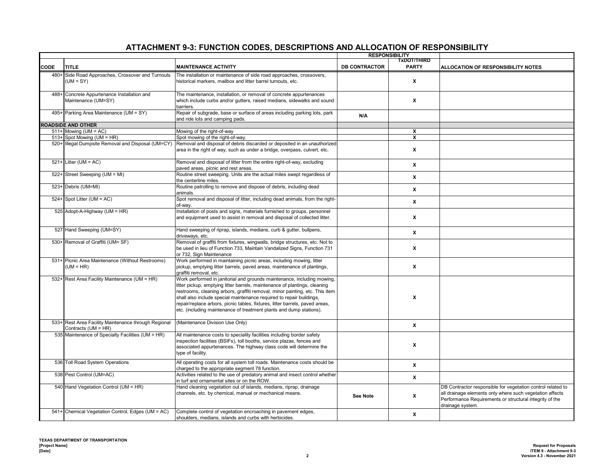|        |                                                                             |                                                                                                                                                                                                                                                                                                                                                                                                                                                                      | <b>RESPONSIBILITY</b><br><b>TxDOT/THIRD</b> |                         |                                                                                                                                                                                                        |
|--------|-----------------------------------------------------------------------------|----------------------------------------------------------------------------------------------------------------------------------------------------------------------------------------------------------------------------------------------------------------------------------------------------------------------------------------------------------------------------------------------------------------------------------------------------------------------|---------------------------------------------|-------------------------|--------------------------------------------------------------------------------------------------------------------------------------------------------------------------------------------------------|
| CODE   | <b>TITLE</b>                                                                | <b>MAINTENANCE ACTIVITY</b>                                                                                                                                                                                                                                                                                                                                                                                                                                          | <b>DB CONTRACTOR</b>                        | <b>PARTY</b>            | ALLOCATION OF RESPONSIBILITY NOTES                                                                                                                                                                     |
|        | 480+ Side Road Approaches, Crossover and Turnouts<br>$(UM = SY)$            | The installation or maintenance of side road approaches, crossovers,<br>historical markers, mailbox and litter barrel turnouts, etc.                                                                                                                                                                                                                                                                                                                                 |                                             | x                       |                                                                                                                                                                                                        |
| $488+$ | Concrete Appurtenance Installation and<br>Maintenance (UM=SY)               | The maintenance, installation, or removal of concrete appurtenances<br>which include curbs and/or gutters, raised medians, sidewalks and sound<br>barriers.                                                                                                                                                                                                                                                                                                          |                                             | X                       |                                                                                                                                                                                                        |
|        | 495+ Parking Area Maintenance (UM = SY)                                     | Repair of subgrade, base or surface of areas including parking lots, park<br>and ride lots and camping pads.                                                                                                                                                                                                                                                                                                                                                         | N/A                                         |                         |                                                                                                                                                                                                        |
|        | <b>ROADSIDE AND OTHER</b>                                                   |                                                                                                                                                                                                                                                                                                                                                                                                                                                                      |                                             |                         |                                                                                                                                                                                                        |
|        | $511+$ Mowing (UM = AC)                                                     | Mowing of the right-of-way                                                                                                                                                                                                                                                                                                                                                                                                                                           |                                             | $\overline{\mathbf{x}}$ |                                                                                                                                                                                                        |
|        | 513+ Spot Mowing (UM = HR)                                                  | Spot mowing of the right-of-way.                                                                                                                                                                                                                                                                                                                                                                                                                                     |                                             | $\overline{\mathbf{x}}$ |                                                                                                                                                                                                        |
|        | 520+ Illegal Dumpsite Removal and Disposal (UM=CY)                          | Removal and disposal of debris discarded or deposited in an unauthorized<br>area in the right of way, such as under a bridge, overpass, culvert, etc.                                                                                                                                                                                                                                                                                                                |                                             | $\mathbf{x}$            |                                                                                                                                                                                                        |
|        | $521+$ Litter (UM = AC)                                                     | Removal and disposal of litter from the entire right-of-way, excluding<br>paved areas, picnic and rest areas.                                                                                                                                                                                                                                                                                                                                                        |                                             | X                       |                                                                                                                                                                                                        |
|        | 522+ Street Sweeping (UM = MI)                                              | Routine street sweeping. Units are the actual miles swept regardless of<br>the centerline miles.                                                                                                                                                                                                                                                                                                                                                                     |                                             | X                       |                                                                                                                                                                                                        |
|        | 523+ Debris (UM=MI)                                                         | Routine patrolling to remove and dispose of debris, including dead<br>animals.                                                                                                                                                                                                                                                                                                                                                                                       |                                             | X                       |                                                                                                                                                                                                        |
|        | 524+ Spot Litter ( $UM = AC$ )                                              | Spot removal and disposal of litter, including dead animals, from the right-<br>of-wav.                                                                                                                                                                                                                                                                                                                                                                              |                                             | X                       |                                                                                                                                                                                                        |
|        | 525 Adopt-A-Highway (UM = HR)                                               | Installation of posts and signs, materials furnished to groups, personnel<br>and equipment used to assist in removal and disposal of collected litter.                                                                                                                                                                                                                                                                                                               |                                             | X                       |                                                                                                                                                                                                        |
|        | 527 Hand Sweeping (UM=SY)                                                   | Hand sweeping of riprap, islands, medians, curb & gutter, bullpens,<br>driveways, etc.                                                                                                                                                                                                                                                                                                                                                                               |                                             | $\pmb{\chi}$            |                                                                                                                                                                                                        |
|        | 530+ Removal of Graffiti (UM= SF)                                           | Removal of graffiti from fixtures, wingwalls, bridge structures, etc. Not to<br>be used in lieu of Function 733, Maintain Vandalized Signs, Function 731<br>or 732, Sign Maintenance                                                                                                                                                                                                                                                                                 |                                             | $\mathbf{x}$            |                                                                                                                                                                                                        |
|        | 531+ Picnic Area Maintenance (Without Restrooms)<br>$(UM = HR)$             | Work performed in maintaining picnic areas, including mowing, litter<br>pickup, emptying litter barrels, paved areas, maintenance of plantings,<br>graffiti removal, etc.                                                                                                                                                                                                                                                                                            |                                             | X                       |                                                                                                                                                                                                        |
|        | 532+ Rest Area Facility Maintenance (UM = HR)                               | Work performed in janitorial and grounds maintenance, including mowing,<br>litter pickup, emptying litter barrels, maintenance of plantings, cleaning<br>restrooms, cleaning arbors, graffiti removal, minor painting, etc. This item<br>shall also include special maintenance required to repair buildings,<br>repair/replace arbors, picnic tables, fixtures, litter barrels, paved areas,<br>etc. (including maintenance of treatment plants and dump stations). |                                             | X                       |                                                                                                                                                                                                        |
|        | 533+ Rest Area Facility Maintenance through Regional<br>Contracts (UM = HR) | (Maintenance Division Use Only)                                                                                                                                                                                                                                                                                                                                                                                                                                      |                                             | $\pmb{\mathsf{x}}$      |                                                                                                                                                                                                        |
|        | 535 Maintenance of Specialty Facilities (UM = HR)                           | All maintenance costs to speciality facilities including border safety<br>inspection facilities (BSIFs), toll booths, service plazas, fences and<br>associated appurtenances. The highway class code will determine the<br>type of facility.                                                                                                                                                                                                                         |                                             | X                       |                                                                                                                                                                                                        |
|        | 536 Toll Road System Operations                                             | All operating costs for all system toll roads. Maintenance costs should be<br>charged to the appropriate segment 78 function.                                                                                                                                                                                                                                                                                                                                        |                                             | X                       |                                                                                                                                                                                                        |
|        | 538 Pest Control (UM=AC)                                                    | Activities related to the use of predatory animal and insect control whether<br>in turf and ornamental sites or on the ROW.                                                                                                                                                                                                                                                                                                                                          |                                             | $\mathbf{x}$            |                                                                                                                                                                                                        |
|        | 540 Hand Vegetation Control (UM = HR)                                       | Hand cleaning vegetation out of islands, medians, riprap, drainage<br>channels, etc. by chemical, manual or mechanical means.                                                                                                                                                                                                                                                                                                                                        | <b>See Note</b>                             | X                       | DB Contractor responsible for vegetation control related to<br>all drainage elements only where such vegetation affects<br>Performance Requirements or structural integrity of the<br>drainage system. |
|        | 541+ Chemical Vegetation Control, Edges (UM = AC)                           | Complete control of vegetation encroaching in pavement edges,<br>shoulders, medians, islands and curbs with herbicides.                                                                                                                                                                                                                                                                                                                                              |                                             | X                       |                                                                                                                                                                                                        |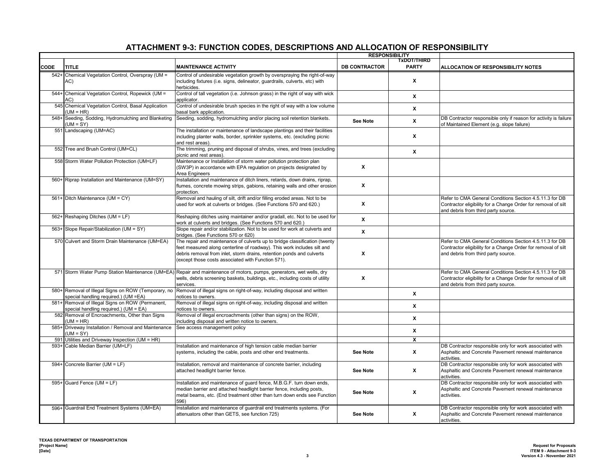#### **CODE TITLE MAINTENANCE ACTIVITY DB CONTRACTOR TxDOT/THIRD PARTY ALLOCATION OF RESPONSIBILITY NOTES RESPONSIBILITY** 542+ Chemical Vegetation Control, Overspray (UM = AC) Control of undesirable vegetation growth by overspraying the right-of-way ncluding fixtures (i.e. signs, delineator, guardrails, culverts, etc) with herbicides. **X** 544+ Chemical Vegetation Control, Ropewick (UM = AC) Control of tall vegetation (i.e. Johnson grass) in the right of way with wick applicator. **X**<br>applicator. 545 Chemical Vegetation Control, Basal Application  $(UM = HR)$ Control of undesirable brush species in the right of way with a low volume basal bark application. **<sup>X</sup>** 548+ Seeding, Sodding, Hydromulching and Blanketing  $(UM = SY)$ <br>551 Landscaping (UM=AC) Seeding, sodding, hydromulching and/or placing soil retention blankets. See Note<br>
See Note<br> **X** DB Contractor responsible only if reason for activity is failure of Maintained Element (e.g. slope failure) The installation or maintenance of landscape plantings and their facilities including planter walls, border, sprinkler systems, etc. (excluding picnic and rest areas). **X** 552 Tree and Brush Control (UM=CL) The trimming, pruning and disposal of shrubs, vines, and trees (excluding rile unimility, pruning and disposar or smidds, viries, and trees (excluding<br>picnic and rest areas). **X** 558 Storm Water Pollution Protection (UM=LF) Maintenance or Installation of storm water pollution protection plan (SW3P) in accordance with EPA regulation on projects designated by Area Engineers **X** 560+ Riprap Installation and Maintenance (UM=SY) Installation and maintenance of ditch liners, retards, down drains, riprap, flumes, concrete mowing strips, gabions, retaining walls and other erosion protection. **X** 561+ Ditch Maintenance (UM = CY) Removal and hauling of silt, drift and/or filling eroded areas. Not to be used for work at culverts or bridges. (See Functions 570 and 620.) **X** Refer to CMA General Conditions Section 4.5.11.3 for DB Contractor eligibility for a Change Order for removal of silt and debris from third party source. 562+ Reshaping Ditches (UM = LF) Reshaping ditches using maintainer and/or gradall, etc. Not to be used for work at culverts and bridges. (See Functions 570 and 620.) **<sup>X</sup>** 563+ Slope Repair/Stabilization (UM = SY) Slope repair and/or stabilization. Not to be used for work at culverts and bridges. (See Functions 570 or 620) **<sup>X</sup>** 570 Culvert and Storm Drain Maintenance (UM=EA) The repair and maintenance of culverts up to bridge classification (twenty eet measured along centerline of roadway). This work includes silt and debris removal from inlet, storm drains, retention ponds and culverts (except those costs associated with Function 571). **X** Refer to CMA General Conditions Section 4.5.11.3 for DB Contractor eligibility for a Change Order for removal of silt and debris from third party source. 571 Storm Water Pump Station Maintenance (UM=EA) Repair and maintenance of motors, pumps, generators, wet wells, dry wells, debris screening baskets, buildings, etc., including costs of utility services. **X** Refer to CMA General Conditions Section 4.5.11.3 for DB Contractor eligibility for a Change Order for removal of silt and debris from third party source. 580+ Removal of Illegal Signs on ROW (Temporary, no special handling required.) (UM =EA) Removal of illegal signs on right-of-way, including disposal and written notices to owners. **<sup>X</sup>** 581+ Removal of Illegal Signs on ROW (Permanent, special handling required.) (UM = EA) Removal of illegal signs on right-of-way, including disposal and written notices to owners.<br> **X** notices to owners. 582 Removal of Encroachments, Other than Signs  $(UM = HR)$ Removal of illegal encroachments (other than signs) on the ROW, including disposal and written notice to owners. **<sup>X</sup>** 585+ Driveway Installation / Removal and Maintenance  $(UM = SY)$ See access management policy **X X** 591 Utilities and Driveway Inspection (UM = HR) **X** nstallation and maintenance of high tension cable median barrier systems, including the cable, posts and other end treatments. **See Note X** DB Contractor responsible only for work associated with Asphaltic and Concrete Pavement renewal maintenance activities. 594+ Concrete Barrier (UM = LF) Installation, removal and maintenance of concrete barrier, including attached headlight barrier fence. **See Note X** DB Contractor responsible only for work associated with Asphaltic and Concrete Pavement renewal maintenance activities. 595+ Guard Fence (UM = LF) Installation and maintenance of guard fence, M.B.G.F. turn down ends, median barrier and attached headlight barrier fence, including posts, metal beams, etc. (End treatment other than turn down ends see Function 596) **See Note X** DB Contractor responsible only for work associated with Asphaltic and Concrete Pavement renewal maintenance activities. 596+ Guardrail End Treatment Systems (UM=EA) Installation and maintenance of guardrail end treatments systems. (For attenuators other than GETS, see function 725) **See Note X** DB Contractor responsible only for work associated with Asphaltic and Concrete Pavement renewal maintenance activities.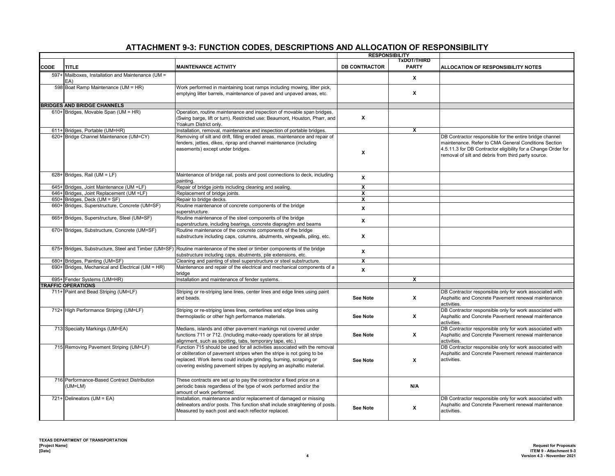|             |                                                           |                                                                                                                                                                                                                                                                                                    | <b>RESPONSIBILITY</b>   |                         |                                                                                                                                                                                                                                         |
|-------------|-----------------------------------------------------------|----------------------------------------------------------------------------------------------------------------------------------------------------------------------------------------------------------------------------------------------------------------------------------------------------|-------------------------|-------------------------|-----------------------------------------------------------------------------------------------------------------------------------------------------------------------------------------------------------------------------------------|
|             |                                                           |                                                                                                                                                                                                                                                                                                    |                         | TxDOT/THIRD             |                                                                                                                                                                                                                                         |
| <b>CODE</b> | TITLE                                                     | <b>MAINTENANCE ACTIVITY</b>                                                                                                                                                                                                                                                                        | <b>DB CONTRACTOR</b>    | <b>PARTY</b>            | ALLOCATION OF RESPONSIBILITY NOTES                                                                                                                                                                                                      |
|             | 597+ Mailboxes, Installation and Maintenance (UM =<br>EA) |                                                                                                                                                                                                                                                                                                    |                         | $\mathbf{x}$            |                                                                                                                                                                                                                                         |
|             | 598 Boat Ramp Maintenance (UM = HR)                       | Work performed in maintaining boat ramps including mowing, litter pick,<br>emptying litter barrels, maintenance of paved and unpaved areas, etc.                                                                                                                                                   |                         | x                       |                                                                                                                                                                                                                                         |
|             | <b>BRIDGES AND BRIDGE CHANNELS</b>                        |                                                                                                                                                                                                                                                                                                    |                         |                         |                                                                                                                                                                                                                                         |
|             | 610+ Bridges, Movable Span (UM = HR)                      | Operation, routine maintenance and inspection of movable span bridges,<br>(Swing barge, lift or turn). Restricted use: Beaumont, Houston, Pharr, and<br>Yoakum District only.                                                                                                                      | x                       |                         |                                                                                                                                                                                                                                         |
|             | 611+ Bridges, Portable (UM=HR)                            | Installation, removal, maintenance and inspection of portable bridges.                                                                                                                                                                                                                             |                         | X                       |                                                                                                                                                                                                                                         |
|             | 620+ Bridge Channel Maintenance (UM=CY)                   | Removing of silt and drift, filling eroded areas, maintenance and repair of<br>fenders, jetties, dikes, riprap and channel maintenance (including<br>easements) except under bridges.                                                                                                              | X                       |                         | DB Contractor responsible for the entire bridge channel<br>maintenance. Refer to CMA General Conditions Section<br>4.5.11.3 for DB Contractor eligibility for a Change Order for<br>removal of silt and debris from third party source. |
|             | 628+ Bridges, Rail (UM = LF)                              | Maintenance of bridge rail, posts and post connections to deck, including<br>painting.                                                                                                                                                                                                             | x                       |                         |                                                                                                                                                                                                                                         |
| $645+$      | Bridges, Joint Maintenance (UM =LF)                       | Repair of bridge joints including cleaning and sealing.                                                                                                                                                                                                                                            | x                       |                         |                                                                                                                                                                                                                                         |
| 646+        | Bridges, Joint Replacement (UM =LF)                       | Replacement of bridge joints.                                                                                                                                                                                                                                                                      | $\overline{\mathbf{x}}$ |                         |                                                                                                                                                                                                                                         |
| 650+        | Bridges, Deck (UM = SF)                                   | Repair to bridge decks.                                                                                                                                                                                                                                                                            | $\mathbf{x}$            |                         |                                                                                                                                                                                                                                         |
| 660+        | Bridges, Superstructure, Concrete (UM=SF)                 | Routine maintenance of concrete components of the bridge<br>superstructure.                                                                                                                                                                                                                        | X                       |                         |                                                                                                                                                                                                                                         |
| 665+        | Bridges, Superstructure, Steel (UM=SF)                    | Routine maintenance of the steel components of the bridge<br>superstructure, including bearings, concrete diapraghm and beams                                                                                                                                                                      | X                       |                         |                                                                                                                                                                                                                                         |
|             | 670+ Bridges, Substructure, Concrete (UM=SF)              | Routine maintenance of the concrete components of the bridge<br>substructure including caps, columns, abutments, wingwalls, piling, etc.                                                                                                                                                           | X                       |                         |                                                                                                                                                                                                                                         |
|             |                                                           | 675+ Bridges, Substructure, Steel and Timber (UM=SF) Routine maintenance of the steel or timber components of the bridge<br>substructure including caps, abutments, pile extensions, etc.                                                                                                          | $\mathbf{x}$            |                         |                                                                                                                                                                                                                                         |
| 680+        | Bridges, Painting (UM=SF)                                 | Cleaning and painting of steel superstructure or steel substructure.                                                                                                                                                                                                                               | X                       |                         |                                                                                                                                                                                                                                         |
| 690+        | Bridges, Mechanical and Electrical (UM = HR)              | Maintenance and repair of the electrical and mechanical components of a<br>bridge                                                                                                                                                                                                                  | X                       |                         |                                                                                                                                                                                                                                         |
|             | 695+ Fender Systems (UM=HR)                               | Installation and maintenance of fender systems.                                                                                                                                                                                                                                                    |                         | $\overline{\mathbf{x}}$ |                                                                                                                                                                                                                                         |
|             | <b>TRAFFIC OPERATIONS</b>                                 |                                                                                                                                                                                                                                                                                                    |                         |                         |                                                                                                                                                                                                                                         |
|             | 711+ Paint and Bead Striping (UM=LF)                      | Striping or re-striping lane lines, center lines and edge lines using paint<br>and beads.                                                                                                                                                                                                          | See Note                | x                       | DB Contractor responsible only for work associated with<br>Asphaltic and Concrete Pavement renewal maintenance<br>activities.                                                                                                           |
|             | 712+ High Performance Striping (UM=LF)                    | Striping or re-striping lanes lines, centerlines and edge lines using<br>thermoplastic or other high performance materials.                                                                                                                                                                        | <b>See Note</b>         | x                       | DB Contractor responsible only for work associated with<br>Asphaltic and Concrete Pavement renewal maintenance<br>activities.                                                                                                           |
|             | 713 Specialty Markings (UM=EA)                            | Medians, islands and other pavement markings not covered under<br>functions 711 or 712. (Including make-ready operations for all stripe<br>alignment, such as spotting, tabs, temporary tape, etc.)                                                                                                | See Note                | X                       | DB Contractor responsible only for work associated with<br>Asphaltic and Concrete Pavement renewal maintenance<br>activities.                                                                                                           |
|             | 715 Removing Pavement Striping (UM=LF)                    | Function 715 should be used for all activities associated with the removal<br>or obliteration of pavement stripes when the stripe is not going to be<br>replaced. Work items could include grinding, burning, scraping or<br>covering existing pavement stripes by applying an asphaltic material. | <b>See Note</b>         | X                       | DB Contractor responsible only for work associated with<br>Asphaltic and Concrete Pavement renewal maintenance<br>activities.                                                                                                           |
|             | 716 Performance-Based Contract Distribution<br>(UM=LM)    | These contracts are set up to pay the contractor a fixed price on a<br>periodic basis regardless of the type of work performed and/or the<br>amount of work performed.                                                                                                                             |                         | N/A                     |                                                                                                                                                                                                                                         |
|             | 721+ Delineators (UM = EA)                                | Installation, maintenance and/or replacement of damaged or missing<br>delineators and/or posts. This function shall include straightening of posts.<br>Measured by each post and each reflector replaced.                                                                                          | <b>See Note</b>         | X                       | DB Contractor responsible only for work associated with<br>Asphaltic and Concrete Pavement renewal maintenance<br>activities.                                                                                                           |